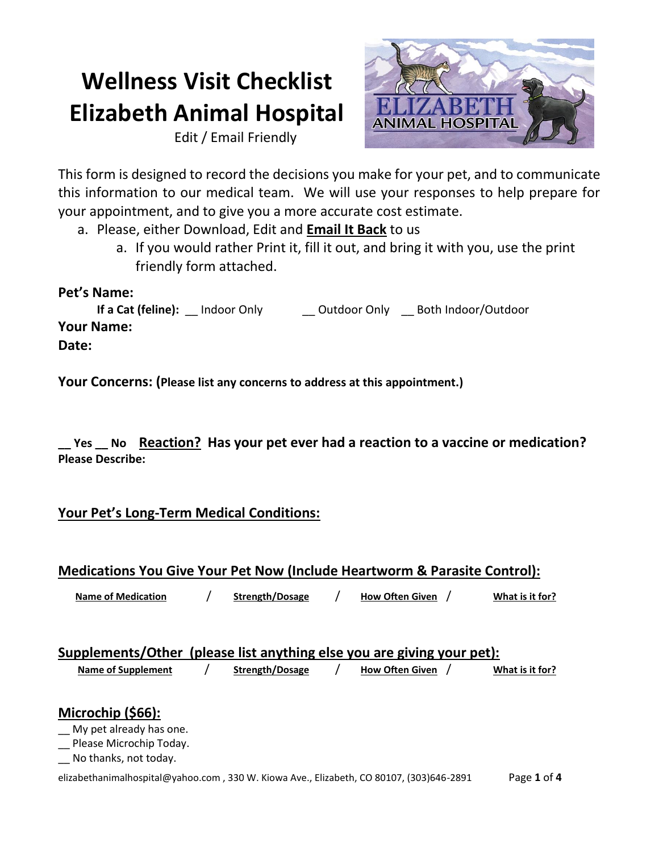# **Wellness Visit Checklist Elizabeth Animal Hospital**

Edit / Email Friendly



This form is designed to record the decisions you make for your pet, and to communicate this information to our medical team. We will use your responses to help prepare for your appointment, and to give you a more accurate cost estimate.

- a. Please, either Download, Edit and **Email It Back** to us
	- a. If you would rather Print it, fill it out, and bring it with you, use the print friendly form attached.

# **Pet's Name:**

**If a Cat (feline):** \_\_ Indoor Only \_\_\_\_\_\_\_ Outdoor Only \_\_\_\_ Both Indoor/Outdoor **Your Name: Date:**

**Your Concerns: (Please list any concerns to address at this appointment.)**

**\_\_ Yes \_\_ No Reaction? Has your pet ever had a reaction to a vaccine or medication? Please Describe:**

# **Your Pet's Long-Term Medical Conditions:**

## **Medications You Give Your Pet Now (Include Heartworm & Parasite Control):**

 **Name of Medication** / **Strength/Dosage** / **How Often Given** / **What is it for?**

| Supplements/Other (please list anything else you are giving your pet): |  |  |  |
|------------------------------------------------------------------------|--|--|--|
|                                                                        |  |  |  |

## **Name of Supplement** / **Strength/Dosage** / **How Often Given** / **What is it for?**

# **Microchip (\$66):**

My pet already has one.

\_\_ Please Microchip Today.

\_\_ No thanks, not today.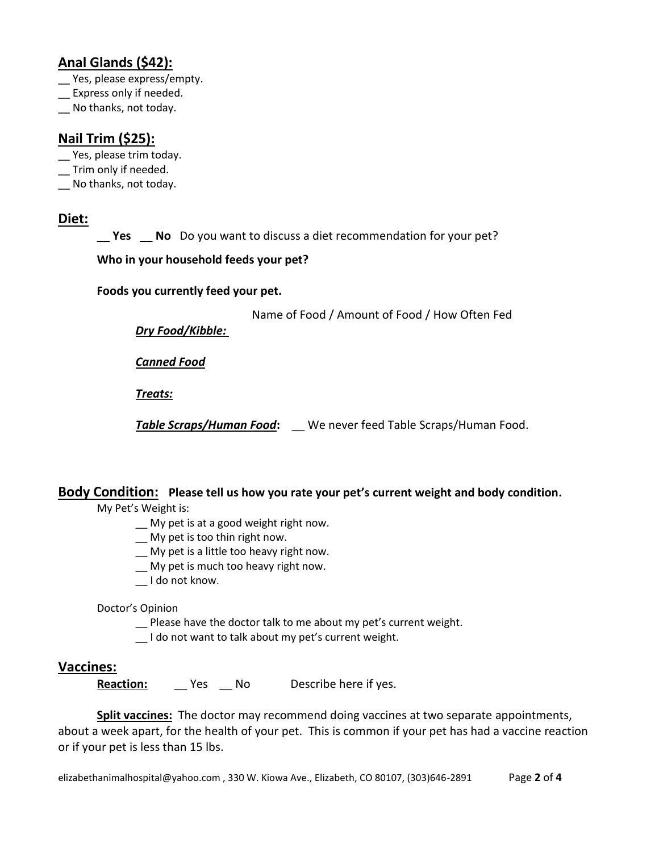# **Anal Glands (\$42):**

- Yes, please express/empty.
- \_\_ Express only if needed.
- No thanks, not today.

# **Nail Trim (\$25):**

- Yes, please trim today.
- \_\_ Trim only if needed.
- \_\_ No thanks, not today.

## **Diet:**

**\_\_ Yes \_\_ No** Do you want to discuss a diet recommendation for your pet?

## **Who in your household feeds your pet?**

#### **Foods you currently feed your pet.**

Name of Food / Amount of Food / How Often Fed

*Dry Food/Kibble:*

*Canned Food*

*Treats:*

*Table Scraps/Human Food***:** \_\_ We never feed Table Scraps/Human Food.

## **Body Condition: Please tell us how you rate your pet's current weight and body condition.**

My Pet's Weight is:

- \_\_ My pet is at a good weight right now.
- \_\_ My pet is too thin right now.
- \_\_ My pet is a little too heavy right now.
- \_\_ My pet is much too heavy right now.
- \_\_ I do not know.

#### Doctor's Opinion

- \_\_ Please have the doctor talk to me about my pet's current weight.
- \_\_ I do not want to talk about my pet's current weight.

## **Vaccines:**

**Reaction:** \_\_ Yes \_\_ No Describe here if yes.

**Split vaccines:** The doctor may recommend doing vaccines at two separate appointments, about a week apart, for the health of your pet. This is common if your pet has had a vaccine reaction or if your pet is less than 15 lbs.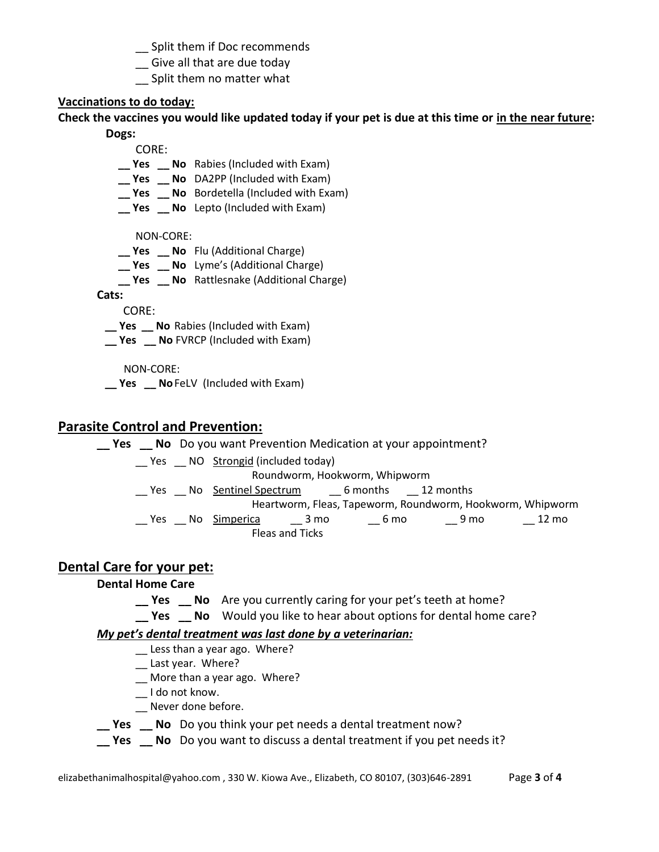- Split them if Doc recommends
- \_\_ Give all that are due today
- Split them no matter what

#### **Vaccinations to do today:**

## **Check the vaccines you would like updated today if your pet is due at this time or in the near future:**

#### **Dogs:**

CORE:

- **\_\_ Yes \_\_ No** Rabies (Included with Exam)
- **\_\_ Yes \_\_ No** DA2PP (Included with Exam)
- **\_\_ Yes \_\_ No** Bordetella (Included with Exam)
- **\_\_ Yes \_\_ No** Lepto (Included with Exam)

NON-CORE:

- **\_\_ Yes \_\_ No** Flu (Additional Charge)
- **\_\_ Yes \_\_ No** Lyme's (Additional Charge)
- **\_\_ Yes \_\_ No** Rattlesnake (Additional Charge)

**Cats:**

CORE:

 **\_\_ Yes \_\_ No** Rabies (Included with Exam)

**Yes No** FVRCP (Included with Exam)

NON-CORE:

**Pes \_\_ No** FeLV (Included with Exam)

## **Parasite Control and Prevention:**

**\_\_ Yes \_\_ No** Do you want Prevention Medication at your appointment? \_\_ Yes \_\_ NO Strongid (included today)

Roundworm, Hookworm, Whipworm

Yes No Sentinel Spectrum 6 months 12 months

Heartworm, Fleas, Tapeworm, Roundworm, Hookworm, Whipworm \_\_ Yes \_\_ No Simperica \_\_\_ 3 mo \_\_\_ 6 mo \_\_\_ 9 mo \_\_\_ 12 mo

Fleas and Ticks

# **Dental Care for your pet:**

## **Dental Home Care**

- **\_\_ Yes \_\_ No** Are you currently caring for your pet's teeth at home?
- **\_\_ Yes \_\_ No** Would you like to hear about options for dental home care?

## *My pet's dental treatment was last done by a veterinarian:*

- \_\_ Less than a year ago. Where?
- \_\_ Last year. Where?
- \_\_ More than a year ago. Where?
- \_\_ I do not know.
- \_\_ Never done before.
- **\_\_ Yes \_\_ No** Do you think your pet needs a dental treatment now?
- **\_\_ Yes \_\_ No** Do you want to discuss a dental treatment if you pet needs it?